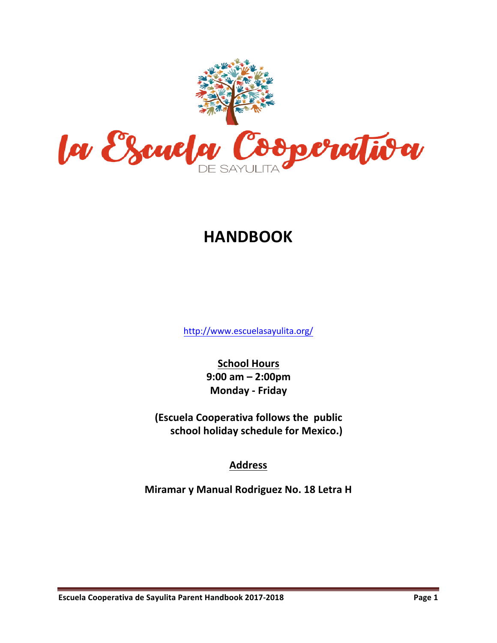

# **HANDBOOK**

http://www.escuelasayulita.org/

**School Hours 9:00(am(– 2:00pm Monday - Friday** 

**(Escuela Cooperativa follows the public)** school holiday schedule for Mexico.)

# **Address**

**Miramar y Manual Rodriguez No. 18 Letra H**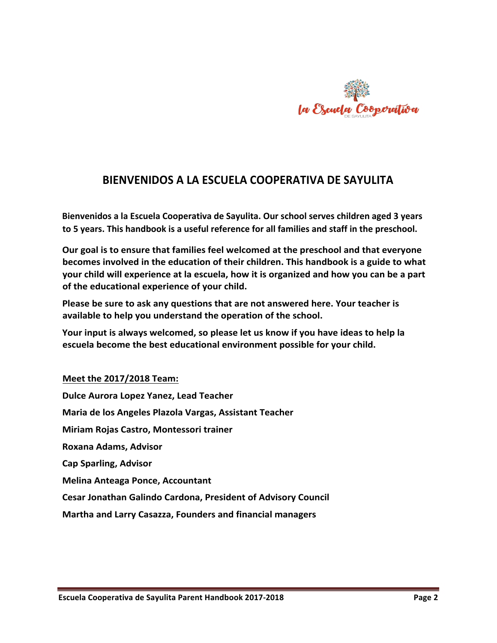

# BIENVENIDOS A LA ESCUELA COOPERATIVA DE SAYULITA

**Bienvenidos a la Escuela Cooperativa de Sayulita. Our school serves children aged 3 years** to 5 years. This handbook is a useful reference for all families and staff in the preschool.

Our goal is to ensure that families feel welcomed at the preschool and that everyone becomes involved in the education of their children. This handbook is a guide to what **your child will experience at la escuela, how it is organized and how you can be a part** of the educational experience of your child.

Please be sure to ask any questions that are not answered here. Your teacher is available to help you understand the operation of the school.

Your input is always welcomed, so please let us know if you have ideas to help la escuela become the best educational environment possible for your child.

#### **Meet the 2017/2018 Team:**

**Dulce Aurora Lopez Yanez, Lead Teacher** Maria de los Angeles Plazola Vargas, Assistant Teacher **Miriam Rojas Castro, Montessori trainer Roxana Adams, Advisor Cap Sparling, Advisor Melina Anteaga Ponce, Accountant Cesar Jonathan Galindo Cardona, President of Advisory Council Martha and Larry Casazza, Founders and financial managers**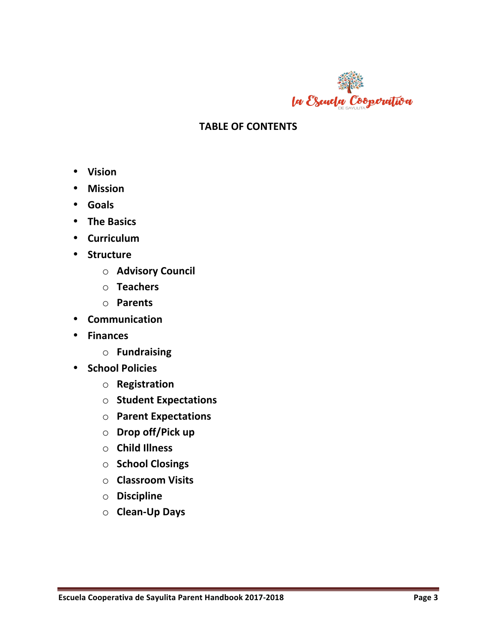

# **TABLE OF CONTENTS**

- **Vision**
- **Mission**
- **Goals**
- The Basics
- **Curriculum**
- **Structure**
	- o **Advisory(Council**
	- o **Teachers**
	- o **Parents**
- **Communication**
- **Finances**
	- o **Fundraising**
- **•** School Policies
	- o **Registration**
	- o **Student Expectations**
	- o **Parent(Expectations**
	- o **Drop off/Pick up**
	- o **Child(Illness(**
	- o **School(Closings**
	- o **Classroom(Visits**
	- o **Discipline**
	- o **Clean<Up(Days**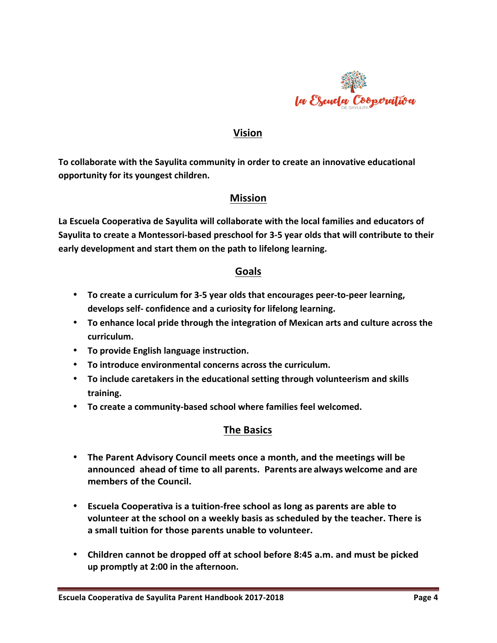

## **Vision**

To collaborate with the Sayulita community in order to create an innovative educational **opportunity for its youngest children.** 

## **Mission**

La Escuela Cooperativa de Sayulita will collaborate with the local families and educators of Sayulita to create a Montessori-based preschool for 3-5 year olds that will contribute to their early development and start them on the path to lifelong learning.

## **Goals**

- To create a curriculum for 3-5 year olds that encourages peer-to-peer learning, **develops self-confidence and a curiosity for lifelong learning.**
- To enhance local pride through the integration of Mexican arts and culture across the **curriculum.**
- To provide English language instruction.
- To introduce environmental concerns across the curriculum.
- To include caretakers in the educational setting through volunteerism and skills **training.**
- To create a community-based school where families feel welcomed.

## **The Basics**

- The Parent Advisory Council meets once a month, and the meetings will be **announced** ahead of time to all parents. Parents are always welcome and are members of the Council.
- **Escuela Cooperativa is a tuition-free school as long as parents are able to** volunteer at the school on a weekly basis as scheduled by the teacher. There is a small tuition for those parents unable to volunteer.
- Children cannot be dropped off at school before 8:45 a.m. and must be picked up promptly at 2:00 in the afternoon.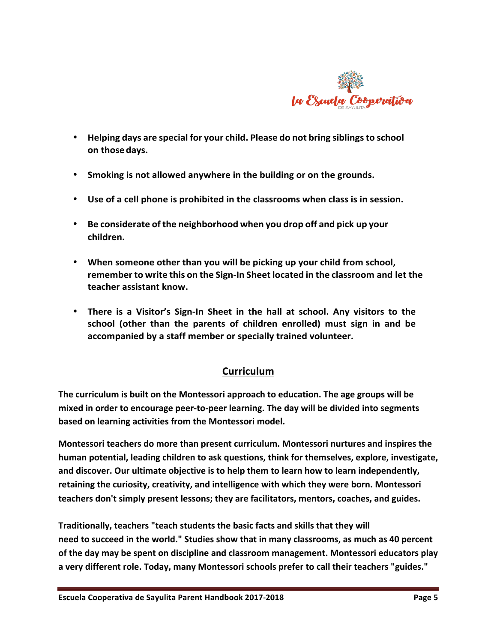

- **Helping days are special for your child. Please do not bring siblingsto school( on(thosedays.**
- Smoking is not allowed anywhere in the building or on the grounds.
- Use of a cell phone is prohibited in the classrooms when class is in session.
- **Be considerate of the neighborhood when you drop off and pick(up your children.**
- When someone other than you will be picking up your child from school, **remember** to write this on the Sign-In Sheet located in the classroom and let the teacher assistant know.
- There is a Visitor's Sign-In Sheet in the hall at school. Any visitors to the school (other than the parents of children enrolled) must sign in and be accompanied by a staff member or specially trained volunteer.

## **Curriculum**

The curriculum is built on the Montessori approach to education. The age groups will be mixed in order to encourage peer-to-peer learning. The day will be divided into segments **based on learning activities from the Montessori model.** 

**Montessori teachers do more than present curriculum. Montessori nurtures and inspires the** human potential, leading children to ask questions, think for themselves, explore, investigate, and discover. Our ultimate objective is to help them to learn how to learn independently, retaining the curiosity, creativity, and intelligence with which they were born. Montessori teachers don't simply present lessons; they are facilitators, mentors, coaches, and guides.

Traditionally, teachers "teach students the basic facts and skills that they will need to succeed in the world." Studies show that in many classrooms, as much as 40 percent of the day may be spent on discipline and classroom management. Montessori educators play a very different role. Today, many Montessori schools prefer to call their teachers "guides."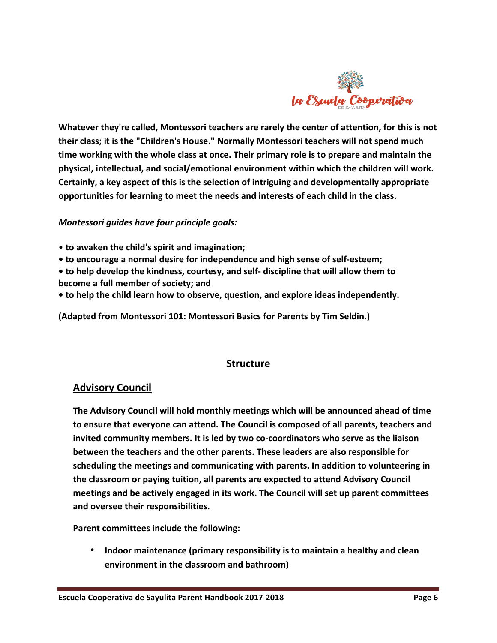

Whatever they're called, Montessori teachers are rarely the center of attention, for this is not their class; it is the "Children's House." Normally Montessori teachers will not spend much time working with the whole class at once. Their primary role is to prepare and maintain the physical, intellectual, and social/emotional environment within which the children will work. Certainly, a key aspect of this is the selection of intriguing and developmentally appropriate opportunities for learning to meet the needs and interests of each child in the class.

#### *Montessori guides have four principle goals:*

- to awaken the child's spirit and imagination;
- to encourage a normal desire for independence and high sense of self-esteem;
- to help develop the kindness, courtesy, and self- discipline that will allow them to become a full member of society; and
- to help the child learn how to observe, question, and explore ideas independently.

(Adapted from Montessori 101: Montessori Basics for Parents by Tim Seldin.)

## **Structure**

#### **Advisory Council**

**The Advisory Council will hold monthly meetings which will be announced ahead of time to ensure that everyone can attend. The Council is composed of all parents, teachers and** invited community members. It is led by two co-coordinators who serve as the liaison **between the teachers and the other parents. These leaders are also responsible for** scheduling the meetings and communicating with parents. In addition to volunteering in the classroom or paying tuition, all parents are expected to attend Advisory Council **meetings and be actively engaged in its work. The Council will set up parent committees** and oversee their responsibilities.

**Parent committees include the following:** 

**Indoor maintenance (primary responsibility is to maintain a healthy and clean** environment in the classroom and bathroom)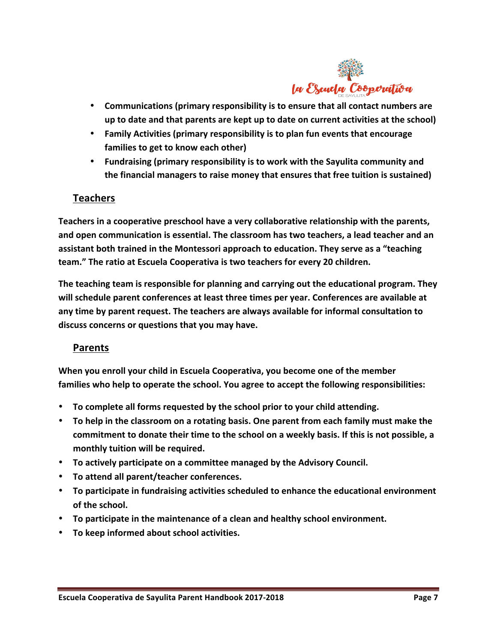

- Communications (primary responsibility is to ensure that all contact numbers are **up to date and that parents are kept up to date on current activities at the school)**
- Family Activities (primary responsibility is to plan fun events that encourage families to get to know each other)
- Fundraising (primary responsibility is to work with the Sayulita community and the financial managers to raise money that ensures that free tuition is sustained)

## **Teachers**

**Teachers in a cooperative preschool have a very collaborative relationship with the parents,** and open communication is essential. The classroom has two teachers, a lead teacher and an assistant both trained in the Montessori approach to education. They serve as a "teaching team." The ratio at Escuela Cooperativa is two teachers for every 20 children.

**The teaching team is responsible for planning and carrying out the educational program. They** will schedule parent conferences at least three times per year. Conferences are available at any time by parent request. The teachers are always available for informal consultation to discuss concerns or questions that you may have.

## **Parents**

When you enroll your child in Escuela Cooperativa, you become one of the member families who help to operate the school. You agree to accept the following responsibilities:

- To complete all forms requested by the school prior to your child attending.
- To help in the classroom on a rotating basis. One parent from each family must make the commitment to donate their time to the school on a weekly basis. If this is not possible, a monthly tuition will be required.
- To actively participate on a committee managed by the Advisory Council.
- To attend all parent/teacher conferences.
- To participate in fundraising activities scheduled to enhance the educational environment of the school.
- To participate in the maintenance of a clean and healthy school environment.
- To keep informed about school activities.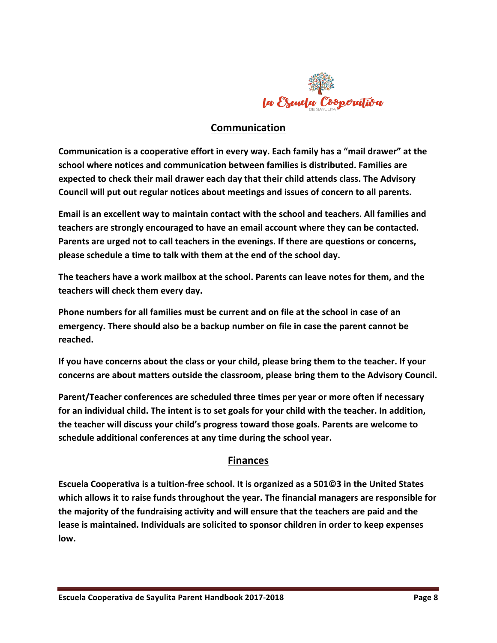

# **Communication**

**Communication is a cooperative effort in every way. Each family has a "mail drawer" at the** school where notices and communication between families is distributed. Families are expected to check their mail drawer each day that their child attends class. The Advisory Council will put out regular notices about meetings and issues of concern to all parents.

Email is an excellent way to maintain contact with the school and teachers. All families and teachers are strongly encouraged to have an email account where they can be contacted. Parents are urged not to call teachers in the evenings. If there are questions or concerns, please schedule a time to talk with them at the end of the school day.

The teachers have a work mailbox at the school. Parents can leave notes for them, and the teachers will check them every day.

Phone numbers for all families must be current and on file at the school in case of an **emergency.** There should also be a backup number on file in case the parent cannot be **reached.**

If you have concerns about the class or your child, please bring them to the teacher. If your concerns are about matters outside the classroom, please bring them to the Advisory Council.

Parent/Teacher conferences are scheduled three times per year or more often if necessary for an individual child. The intent is to set goals for your child with the teacher. In addition, the teacher will discuss your child's progress toward those goals. Parents are welcome to schedule additional conferences at any time during the school year.

## **Finances**

**Escuela Cooperativa is a tuition-free school. It is organized as a 501©3 in the United States** which allows it to raise funds throughout the year. The financial managers are responsible for the majority of the fundraising activity and will ensure that the teachers are paid and the  $l$  lease is maintained. Individuals are solicited to sponsor children in order to keep expenses **low.**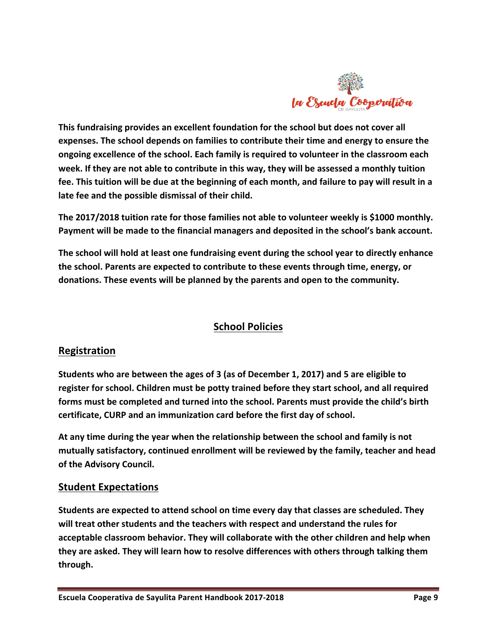

This fundraising provides an excellent foundation for the school but does not cover all expenses. The school depends on families to contribute their time and energy to ensure the ongoing excellence of the school. Each family is required to volunteer in the classroom each week. If they are not able to contribute in this way, they will be assessed a monthly tuition fee. This tuition will be due at the beginning of each month, and failure to pay will result in a late fee and the possible dismissal of their child.

The 2017/2018 tuition rate for those families not able to volunteer weekly is \$1000 monthly. Payment will be made to the financial managers and deposited in the school's bank account.

The school will hold at least one fundraising event during the school year to directly enhance the school. Parents are expected to contribute to these events through time, energy, or donations. These events will be planned by the parents and open to the community.

# **School Policies**

## **Registration**

Students who are between the ages of 3 (as of December 1, 2017) and 5 are eligible to register for school. Children must be potty trained before they start school, and all required forms must be completed and turned into the school. Parents must provide the child's birth certificate, CURP and an immunization card before the first day of school.

At any time during the year when the relationship between the school and family is not mutually satisfactory, continued enrollment will be reviewed by the family, teacher and head **of the Advisory Council.** 

## **Student Expectations**

Students are expected to attend school on time every day that classes are scheduled. They will treat other students and the teachers with respect and understand the rules for acceptable classroom behavior. They will collaborate with the other children and help when they are asked. They will learn how to resolve differences with others through talking them **through.**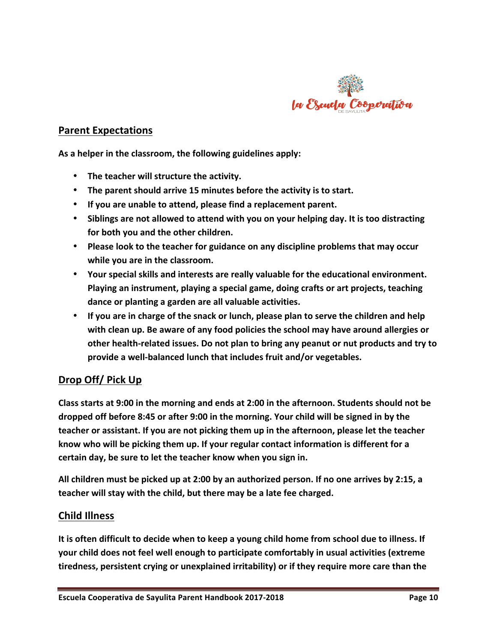

## **Parent Expectations**

As a helper in the classroom, the following guidelines apply:

- The teacher will structure the activity.
- The parent should arrive 15 minutes before the activity is to start.
- If you are unable to attend, please find a replacement parent.
- Siblings are not allowed to attend with you on your helping day. It is too distracting for both you and the other children.
- Please look to the teacher for guidance on any discipline problems that may occur while you are in the classroom.
- Your special skills and interests are really valuable for the educational environment. Playing an instrument, playing a special game, doing crafts or art projects, teaching dance or planting a garden are all valuable activities.
- If you are in charge of the snack or lunch, please plan to serve the children and help with clean up. Be aware of any food policies the school may have around allergies or other health-related issues. Do not plan to bring any peanut or nut products and try to provide a well-balanced lunch that includes fruit and/or vegetables.

# Drop Off/ Pick Up

Class starts at 9:00 in the morning and ends at 2:00 in the afternoon. Students should not be dropped off before 8:45 or after 9:00 in the morning. Your child will be signed in by the teacher or assistant. If you are not picking them up in the afternoon, please let the teacher know who will be picking them up. If your regular contact information is different for a certain day, be sure to let the teacher know when you sign in.

All children must be picked up at 2:00 by an authorized person. If no one arrives by 2:15, a teacher will stay with the child, but there may be a late fee charged.

#### **Child(Illness**

It is often difficult to decide when to keep a young child home from school due to illness. If your child does not feel well enough to participate comfortably in usual activities (extreme tiredness, persistent crying or unexplained irritability) or if they require more care than the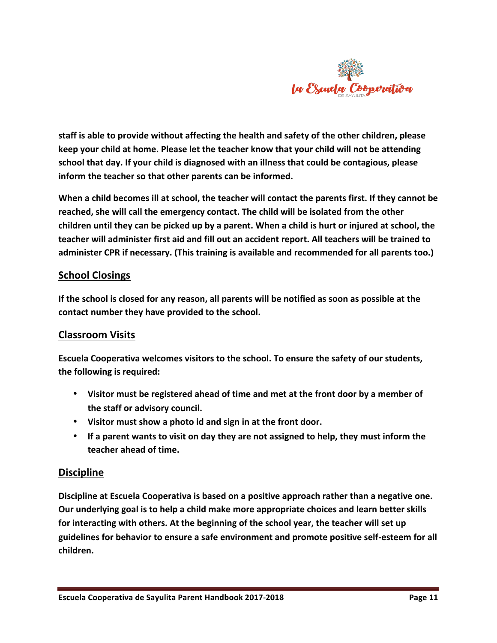

staff is able to provide without affecting the health and safety of the other children, please **keep your child at home. Please let the teacher know that your child will not be attending** school that day. If your child is diagnosed with an illness that could be contagious, please  $inform$  the teacher so that other parents can be informed.

When a child becomes ill at school, the teacher will contact the parents first. If they cannot be reached, she will call the emergency contact. The child will be isolated from the other children until they can be picked up by a parent. When a child is hurt or injured at school, the teacher will administer first aid and fill out an accident report. All teachers will be trained to administer CPR if necessary. (This training is available and recommended for all parents too.)

## **School Closings**

If the school is closed for any reason, all parents will be notified as soon as possible at the contact number they have provided to the school.

## **Classroom Visits**

**Escuela Cooperativa welcomes visitors to the school. To ensure the safety of our students,** the following is required:

- Visitor must be registered ahead of time and met at the front door by a member of the staff or advisory council.
- Visitor must show a photo id and sign in at the front door.
- If a parent wants to visit on day they are not assigned to help, they must inform the teacher ahead of time.

#### **Discipline**

Discipline at Escuela Cooperativa is based on a positive approach rather than a negative one. **Our underlying goal is to help a child make more appropriate choices and learn better skills** for interacting with others. At the beginning of the school year, the teacher will set up guidelines for behavior to ensure a safe environment and promote positive self-esteem for all **children.**